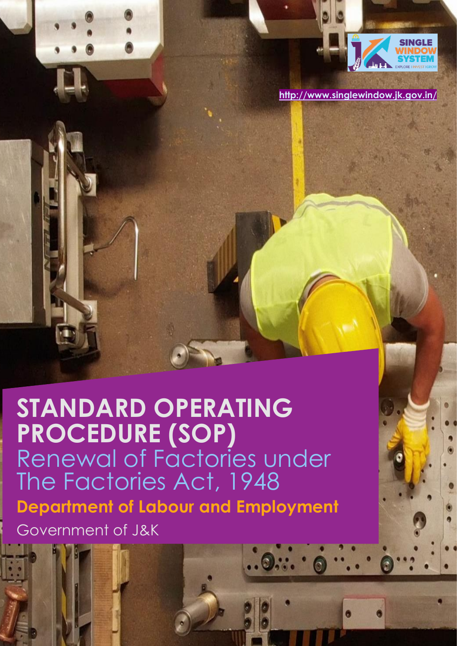

**<http://www.singlewindow.jk.gov.in/>**

# **STANDARD OPERATING PROCEDURE (SOP)** Renewal of Factories under The Factories Act, 1948 **Department of Labour and Employment**  Government of J&K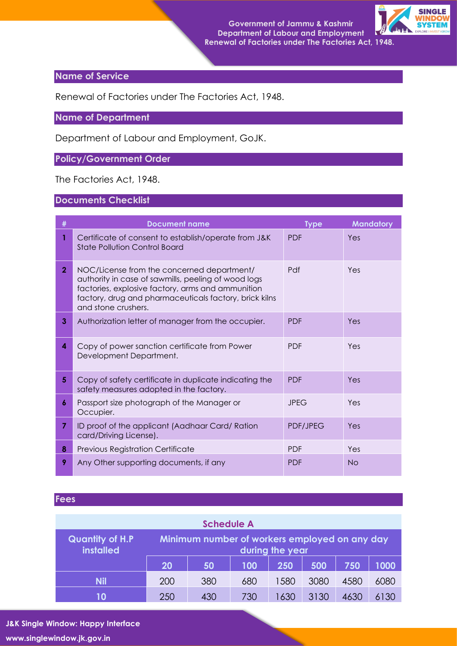

# **Name of Service**

Renewal of Factories under The Factories Act, 1948.

## **Name of Department**

Department of Labour and Employment, GoJK.

# **Policy/Government Order**

The Factories Act, 1948.

#### **Documents Checklist**

| #              | <b>Document name</b>                                                                                                                                                                                                                    | <b>Type</b> | <b>Mandatory</b> |
|----------------|-----------------------------------------------------------------------------------------------------------------------------------------------------------------------------------------------------------------------------------------|-------------|------------------|
|                | Certificate of consent to establish/operate from J&K<br><b>State Pollution Control Board</b>                                                                                                                                            | <b>PDF</b>  | Yes              |
| $\overline{2}$ | NOC/License from the concerned department/<br>authority in case of sawmills, peeling of wood logs<br>factories, explosive factory, arms and ammunition<br>factory, drug and pharmaceuticals factory, brick kilns<br>and stone crushers. | Pdf         | Yes              |
| 3              | Authorization letter of manager from the occupier.                                                                                                                                                                                      | <b>PDF</b>  | Yes              |
| 4              | Copy of power sanction certificate from Power<br>Development Department.                                                                                                                                                                | <b>PDF</b>  | Yes              |
| 5              | Copy of safety certificate in duplicate indicating the<br>safety measures adopted in the factory.                                                                                                                                       | <b>PDF</b>  | Yes              |
| 6              | Passport size photograph of the Manager or<br>Occupier.                                                                                                                                                                                 | <b>JPEG</b> | Yes              |
| 7.             | ID proof of the applicant (Aadhaar Card/Ration<br>card/Driving License).                                                                                                                                                                | PDF/JPEG    | Yes              |
| 8              | Previous Registration Certificate                                                                                                                                                                                                       | <b>PDF</b>  | Yes              |
| 9              | Any Other supporting documents, if any                                                                                                                                                                                                  | <b>PDF</b>  | <b>No</b>        |

#### **Fees**

| <b>Schedule A</b>                          |                                                                  |     |     |      |      |      |      |
|--------------------------------------------|------------------------------------------------------------------|-----|-----|------|------|------|------|
| <b>Quantity of H.P</b><br><b>installed</b> | Minimum number of workers employed on any day<br>during the year |     |     |      |      |      |      |
|                                            | 20                                                               | 50  | 100 | 250  | 500  | 750  | 1000 |
| <b>Nil</b>                                 | 200                                                              | 380 | 680 | 1580 | 3080 | 4580 | 6080 |
| 10                                         | 250                                                              | 430 | 730 | 1630 | 3130 | 4630 | 6130 |

**J&K Single Window: Happy Interface www.singlewindow.jk.gov.in**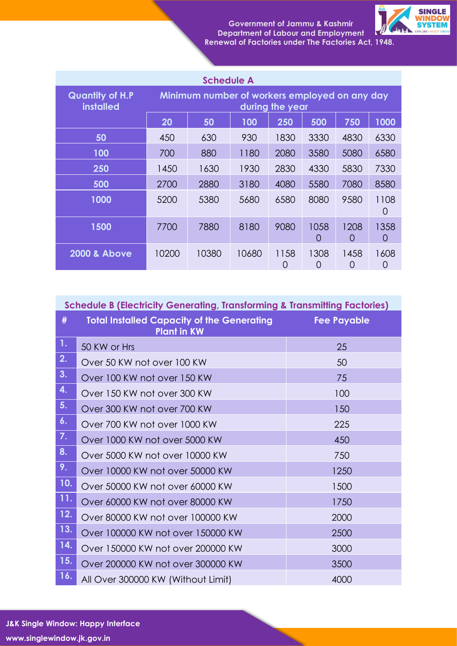

| <b>Schedule A</b>                          |                                                                  |       |       |                          |           |                  |                          |
|--------------------------------------------|------------------------------------------------------------------|-------|-------|--------------------------|-----------|------------------|--------------------------|
| <b>Quantity of H.P</b><br><b>installed</b> | Minimum number of workers employed on any day<br>during the year |       |       |                          |           |                  |                          |
|                                            | 20                                                               | 50    | 100   | 250                      | 500       | 750              | 1000                     |
| 50                                         | 450                                                              | 630   | 930   | 1830                     | 3330      | 4830             | 6330                     |
| 100                                        | 700                                                              | 880   | 1180  | 2080                     | 3580      | 5080             | 6580                     |
| 250                                        | 1450                                                             | 1630  | 1930  | 2830                     | 4330      | 5830             | 7330                     |
| 500                                        | 2700                                                             | 2880  | 3180  | 4080                     | 5580      | 7080             | 8580                     |
| 1000                                       | 5200                                                             | 5380  | 5680  | 6580                     | 8080      | 9580             | 1108<br>$\left( \right)$ |
| 1500                                       | 7700                                                             | 7880  | 8180  | 9080                     | 1058<br>0 | 1208<br>$\Omega$ | 1358<br>$\left( \right)$ |
| <b>2000 &amp; Above</b>                    | 10200                                                            | 10380 | 10680 | 1158<br>$\left( \right)$ | 1308<br>0 | 1458<br>O        | 1608                     |

| <b>Schedule B (Electricity Generating, Transforming &amp; Transmitting Factories)</b> |                                                                         |                    |  |  |
|---------------------------------------------------------------------------------------|-------------------------------------------------------------------------|--------------------|--|--|
| #                                                                                     | <b>Total Installed Capacity of the Generating</b><br><b>Plant in KW</b> | <b>Fee Payable</b> |  |  |
| 1.                                                                                    | 50 KW or Hrs                                                            | 25                 |  |  |
| 2.                                                                                    | Over 50 KW not over 100 KW                                              | 50                 |  |  |
| 3.                                                                                    | Over 100 KW not over 150 KW                                             | 75                 |  |  |
| 4.                                                                                    | Over 150 KW not over 300 KW                                             | 100                |  |  |
| 5.                                                                                    | Over 300 KW not over 700 KW                                             | 150                |  |  |
| 6.                                                                                    | Over 700 KW not over 1000 KW                                            | 225                |  |  |
| 7.                                                                                    | Over 1000 KW not over 5000 KW                                           | 450                |  |  |
| 8.                                                                                    | Over 5000 KW not over 10000 KW                                          | 750                |  |  |
| 9.                                                                                    | Over 10000 KW not over 50000 KW                                         | 1250               |  |  |
| 10.                                                                                   | Over 50000 KW not over 60000 KW                                         | 1500               |  |  |
| 11.                                                                                   | Over 60000 KW not over 80000 KW                                         | 1750               |  |  |
| 12.                                                                                   | Over 80000 KW not over 100000 KW                                        | 2000               |  |  |
| 13.                                                                                   | Over 100000 KW not over 150000 KW                                       | 2500               |  |  |
| 14.                                                                                   | Over 150000 KW not over 200000 KW                                       | 3000               |  |  |
| 15.                                                                                   | Over 200000 KW not over 300000 KW                                       | 3500               |  |  |
| 16.                                                                                   | All Over 300000 KW (Without Limit)                                      | 4000               |  |  |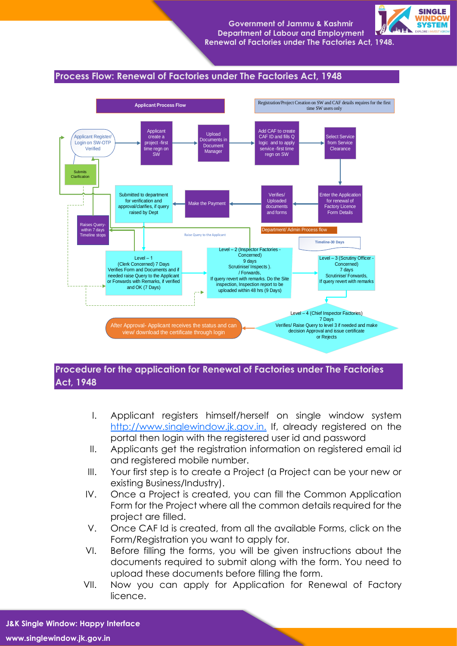

## **Process Flow: Renewal of Factories under The Factories Act, 1948**



# **Procedure for the application for Renewal of Factories under The Factories Act, 1948**

- I. Applicant registers himself/herself on single window system [http://www.singlewindow.jk.gov.in.](http://www.singlewindow.jk.gov.in./) If, already registered on the portal then login with the registered user id and password
- II. Applicants get the registration information on registered email id and registered mobile number.
- III. Your first step is to create a Project (a Project can be your new or existing Business/Industry).
- IV. Once a Project is created, you can fill the Common Application Form for the Project where all the common details required for the project are filled.
- V. Once CAF Id is created, from all the available Forms, click on the Form/Registration you want to apply for.
- VI. Before filling the forms, you will be given instructions about the documents required to submit along with the form. You need to upload these documents before filling the form.
- VII. Now you can apply for Application for Renewal of Factory licence.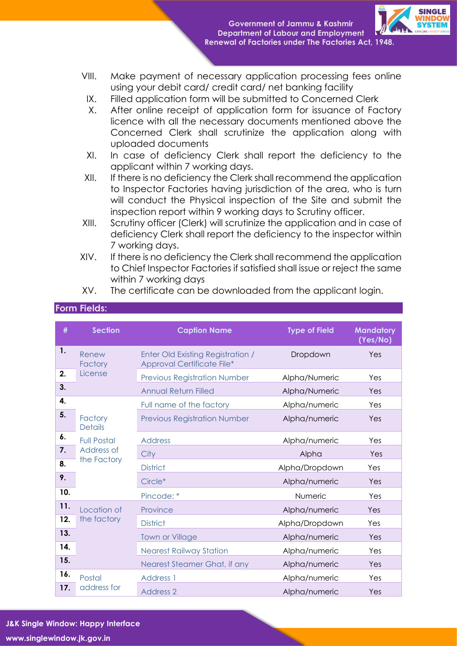

- VIII. Make payment of necessary application processing fees online using your debit card/ credit card/ net banking facility
	- IX. Filled application form will be submitted to Concerned Clerk
	- X. After online receipt of application form for issuance of Factory licence with all the necessary documents mentioned above the Concerned Clerk shall scrutinize the application along with uploaded documents
- XI. In case of deficiency Clerk shall report the deficiency to the applicant within 7 working days.
- XII. If there is no deficiency the Clerk shall recommend the application to Inspector Factories having jurisdiction of the area, who is turn will conduct the Physical inspection of the Site and submit the inspection report within 9 working days to Scrutiny officer.
- XIII. Scrutiny officer (Clerk) will scrutinize the application and in case of deficiency Clerk shall report the deficiency to the inspector within 7 working days.
- XIV. If there is no deficiency the Clerk shall recommend the application to Chief Inspector Factories if satisfied shall issue or reject the same within 7 working days

| #   | <b>Section</b>                   | <b>Caption Name</b>                                                    | <b>Type of Field</b> | <b>Mandatory</b><br>(Yes/No) |
|-----|----------------------------------|------------------------------------------------------------------------|----------------------|------------------------------|
| 1.  | Renew<br>Factory                 | <b>Enter Old Existing Registration /</b><br>Approval Certificate File* | Dropdown             | Yes                          |
| 2.  | License                          | <b>Previous Registration Number</b>                                    | Alpha/Numeric        | Yes                          |
| 3.  |                                  | <b>Annual Return Filled</b>                                            | Alpha/Numeric        | Yes                          |
| 4.  |                                  | Full name of the factory                                               | Alpha/numeric        | Yes                          |
| 5.  | Factory<br><b>Details</b>        | <b>Previous Registration Number</b>                                    | Alpha/numeric        | Yes                          |
| 6.  | <b>Full Postal</b><br>Address of | <b>Address</b>                                                         | Alpha/numeric        | Yes                          |
| 7.  |                                  | City                                                                   | Alpha                | Yes                          |
| 8.  | the Factory                      | <b>District</b>                                                        | Alpha/Dropdown       | Yes                          |
| 9.  |                                  | Circle*                                                                | Alpha/numeric        | Yes                          |
| 10. |                                  | Pincode: *                                                             | Numeric              | Yes                          |
| 11. | Location of                      | Province                                                               | Alpha/numeric        | Yes                          |
| 12. | the factory                      | <b>District</b>                                                        | Alpha/Dropdown       | Yes                          |
| 13. |                                  | <b>Town or Village</b>                                                 | Alpha/numeric        | Yes                          |
| 14. |                                  | <b>Nearest Railway Station</b>                                         | Alpha/numeric        | Yes                          |
| 15. |                                  | Nearest Steamer Ghat, if any                                           | Alpha/numeric        | Yes                          |
| 16. | Postal                           | <b>Address 1</b>                                                       | Alpha/numeric        | Yes                          |
| 17. | address for                      | <b>Address 2</b>                                                       | Alpha/numeric        | Yes                          |

## XV. The certificate can be downloaded from the applicant login.

# **J&K Single Window: Happy Interface www.singlewindow.jk.gov.in**

**Form Fields:**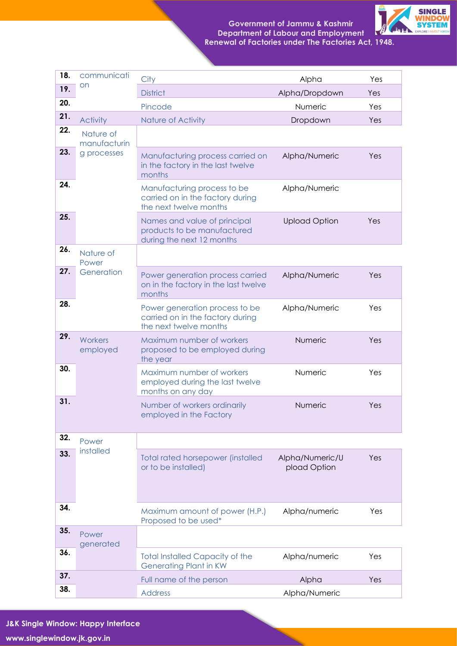

| 18. | communicati               | City                                                                                         | Alpha                           | Yes |
|-----|---------------------------|----------------------------------------------------------------------------------------------|---------------------------------|-----|
| 19. | on                        | <b>District</b>                                                                              | Alpha/Dropdown                  | Yes |
| 20. |                           | Pincode                                                                                      | Numeric                         | Yes |
| 21. | <b>Activity</b>           | Nature of Activity                                                                           | Dropdown                        | Yes |
| 22. | Nature of<br>manufacturin |                                                                                              |                                 |     |
| 23. | g processes               | Manufacturing process carried on<br>in the factory in the last twelve<br>months              | Alpha/Numeric                   | Yes |
| 24. |                           | Manufacturing process to be<br>carried on in the factory during<br>the next twelve months    | Alpha/Numeric                   |     |
| 25. |                           | Names and value of principal<br>products to be manufactured<br>during the next 12 months     | <b>Upload Option</b>            | Yes |
| 26. | Nature of<br>Power        |                                                                                              |                                 |     |
| 27. | Generation                | Power generation process carried<br>on in the factory in the last twelve<br>months           | Alpha/Numeric                   | Yes |
| 28. |                           | Power generation process to be<br>carried on in the factory during<br>the next twelve months | Alpha/Numeric                   | Yes |
| 29. | Workers<br>employed       | Maximum number of workers<br>proposed to be employed during<br>the year                      | Numeric                         | Yes |
| 30. |                           | Maximum number of workers<br>employed during the last twelve<br>months on any day            | Numeric                         | Yes |
| 31. |                           | Number of workers ordinarily<br>employed in the Factory                                      | Numeric                         | Yes |
| 32. | Power                     |                                                                                              |                                 |     |
| 33. | installed                 | <b>Total rated horsepower (installed</b><br>or to be installed)                              | Alpha/Numeric/U<br>pload Option | Yes |
| 34. |                           | Maximum amount of power (H.P.)<br>Proposed to be used*                                       | Alpha/numeric                   | Yes |
| 35. | Power<br>generated        |                                                                                              |                                 |     |
| 36. |                           | <b>Total Installed Capacity of the</b><br><b>Generating Plant in KW</b>                      | Alpha/numeric                   | Yes |
| 37. |                           | Full name of the person                                                                      | Alpha                           | Yes |
| 38. |                           | <b>Address</b>                                                                               | Alpha/Numeric                   |     |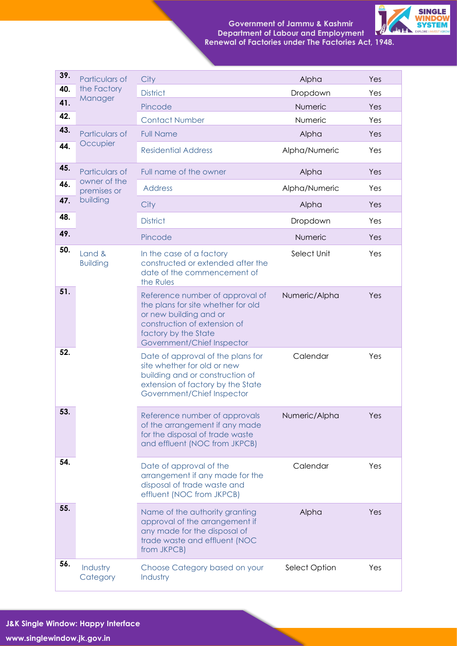

| 39. | Particulars of              | City                                                                                                                                                                                  | Alpha         | Yes |
|-----|-----------------------------|---------------------------------------------------------------------------------------------------------------------------------------------------------------------------------------|---------------|-----|
| 40. | the Factory<br>Manager      | <b>District</b>                                                                                                                                                                       | Dropdown      | Yes |
| 41. |                             | Pincode                                                                                                                                                                               | Numeric       | Yes |
| 42. |                             | <b>Contact Number</b>                                                                                                                                                                 | Numeric       | Yes |
| 43. | Particulars of              | <b>Full Name</b>                                                                                                                                                                      | Alpha         | Yes |
| 44. | Occupier                    | <b>Residential Address</b>                                                                                                                                                            | Alpha/Numeric | Yes |
| 45. | Particulars of              | Full name of the owner                                                                                                                                                                | Alpha         | Yes |
| 46. | owner of the<br>premises or | <b>Address</b>                                                                                                                                                                        | Alpha/Numeric | Yes |
| 47. | building                    | City                                                                                                                                                                                  | Alpha         | Yes |
| 48. |                             | <b>District</b>                                                                                                                                                                       | Dropdown      | Yes |
| 49. |                             | Pincode                                                                                                                                                                               | Numeric       | Yes |
| 50. | Land &<br><b>Building</b>   | In the case of a factory<br>constructed or extended after the<br>date of the commencement of<br>the Rules                                                                             | Select Unit   | Yes |
| 51. |                             | Reference number of approval of<br>the plans for site whether for old<br>or new building and or<br>construction of extension of<br>factory by the State<br>Government/Chief Inspector | Numeric/Alpha | Yes |
| 52. |                             | Date of approval of the plans for<br>site whether for old or new<br>building and or construction of<br>extension of factory by the State<br>Government/Chief Inspector                | Calendar      | Yes |
| 53. |                             | Reference number of approvals<br>of the arrangement if any made<br>for the disposal of trade waste<br>and effluent (NOC from JKPCB)                                                   | Numeric/Alpha | Yes |
| 54. |                             | Date of approval of the<br>arrangement if any made for the<br>disposal of trade waste and<br>effluent (NOC from JKPCB)                                                                | Calendar      | Yes |
| 55. |                             | Name of the authority granting<br>approval of the arrangement if<br>any made for the disposal of<br>trade waste and effluent (NOC<br>from JKPCB)                                      | Alpha         | Yes |
| 56. | Industry<br>Category        | Choose Category based on your<br>Industry                                                                                                                                             | Select Option | Yes |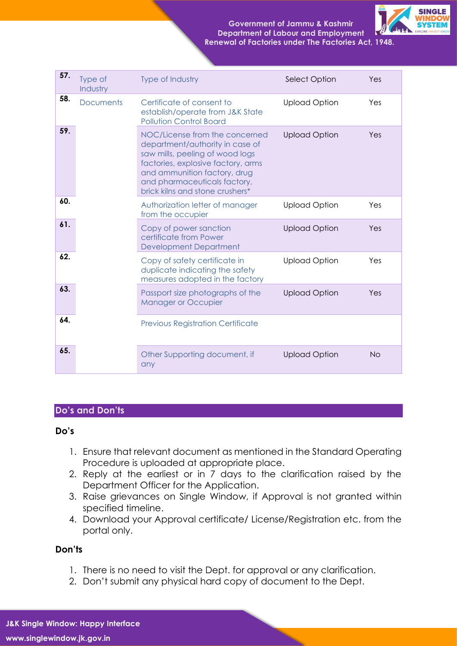

| 57. | Type of<br>Industry | Type of Industry                                                                                                                                                                                                                              | Select Option        | Yes       |
|-----|---------------------|-----------------------------------------------------------------------------------------------------------------------------------------------------------------------------------------------------------------------------------------------|----------------------|-----------|
| 58. | <b>Documents</b>    | Certificate of consent to<br>establish/operate from J&K State<br><b>Pollution Control Board</b>                                                                                                                                               | <b>Upload Option</b> | Yes       |
| 59. |                     | NOC/License from the concerned<br>department/authority in case of<br>saw mills, peeling of wood logs<br>factories, explosive factory, arms<br>and ammunition factory, drug<br>and pharmaceuticals factory,<br>brick kilns and stone crushers* | <b>Upload Option</b> | Yes       |
| 60. |                     | Authorization letter of manager<br>from the occupier                                                                                                                                                                                          | <b>Upload Option</b> | Yes       |
| 61. |                     | Copy of power sanction<br>certificate from Power<br><b>Development Department</b>                                                                                                                                                             | <b>Upload Option</b> | Yes       |
| 62. |                     | Copy of safety certificate in<br>duplicate indicating the safety<br>measures adopted in the factory                                                                                                                                           | <b>Upload Option</b> | Yes       |
| 63. |                     | Passport size photographs of the<br><b>Manager or Occupier</b>                                                                                                                                                                                | <b>Upload Option</b> | Yes       |
| 64. |                     | <b>Previous Registration Certificate</b>                                                                                                                                                                                                      |                      |           |
| 65. |                     | Other Supporting document, if<br>any                                                                                                                                                                                                          | <b>Upload Option</b> | <b>No</b> |

## **Do's and Don'ts**

#### **Do's**

- 1. Ensure that relevant document as mentioned in the Standard Operating Procedure is uploaded at appropriate place.
- 2. Reply at the earliest or in 7 days to the clarification raised by the Department Officer for the Application.
- 3. Raise grievances on Single Window, if Approval is not granted within specified timeline.
- 4. Download your Approval certificate/ License/Registration etc. from the portal only.

## **Don'ts**

- 1. There is no need to visit the Dept. for approval or any clarification.
- 2. Don't submit any physical hard copy of document to the Dept.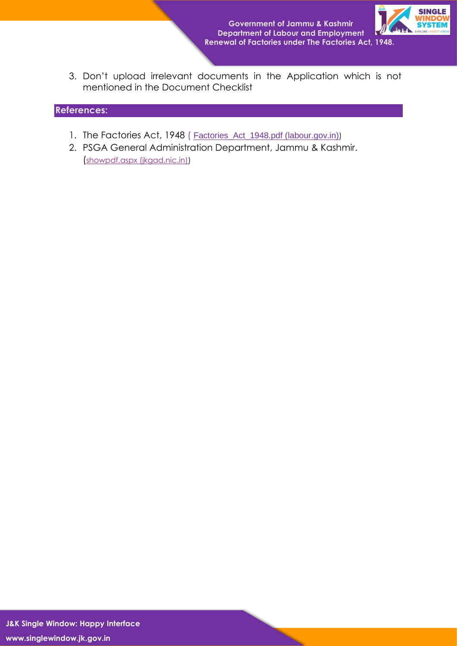

3. Don't upload irrelevant documents in the Application which is not mentioned in the Document Checklist

## **References:**

- 1. The Factories Act, 1948 ( [Factories\\_Act\\_1948.pdf \(labour.gov.in\)](https://labour.gov.in/sites/default/files/Factories_Act_1948.pdf))
- 2. PSGA General Administration Department, Jammu & Kashmir. ([showpdf.aspx \(jkgad.nic.in\)\)](https://jkgad.nic.in/common/showpdf.aspx?actCode=psu76)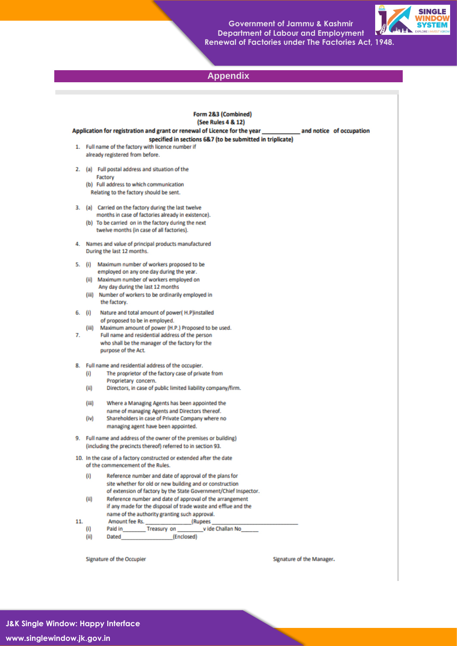

# **Appendix**

|     |         | Form 2&3 (Combined)<br>(See Rules 4 & 12)                                                                                     |                           |  |
|-----|---------|-------------------------------------------------------------------------------------------------------------------------------|---------------------------|--|
|     |         | Application for registration and grant or renewal of Licence for the year __________________________ and notice of occupation |                           |  |
|     |         | specified in sections 6&7 (to be submitted in triplicate)                                                                     |                           |  |
|     |         | 1. Full name of the factory with licence number if                                                                            |                           |  |
|     |         | already registered from before.                                                                                               |                           |  |
|     |         | 2. (a) Full postal address and situation of the                                                                               |                           |  |
|     | Factory | (b) Full address to which communication                                                                                       |                           |  |
|     |         | Relating to the factory should be sent.                                                                                       |                           |  |
|     |         |                                                                                                                               |                           |  |
|     |         | 3. (a) Carried on the factory during the last twelve<br>months in case of factories already in existence).                    |                           |  |
|     |         | (b) To be carried on in the factory during the next                                                                           |                           |  |
|     |         | twelve months (in case of all factories).                                                                                     |                           |  |
|     |         | 4. Names and value of principal products manufactured                                                                         |                           |  |
|     |         | During the last 12 months.                                                                                                    |                           |  |
|     |         | 5. (i) Maximum number of workers proposed to be                                                                               |                           |  |
|     |         | employed on any one day during the year.                                                                                      |                           |  |
|     |         | (ii) Maximum number of workers employed on<br>Any day during the last 12 months                                               |                           |  |
|     |         | (iii) Number of workers to be ordinarily employed in                                                                          |                           |  |
|     |         | the factory.                                                                                                                  |                           |  |
|     | 6. (i)  | Nature and total amount of power(H.P)installed                                                                                |                           |  |
|     |         | of proposed to be in employed.                                                                                                |                           |  |
|     |         | (iii) Maximum amount of power (H.P.) Proposed to be used.                                                                     |                           |  |
| 7.  |         | Full name and residential address of the person                                                                               |                           |  |
|     |         | who shall be the manager of the factory for the<br>purpose of the Act.                                                        |                           |  |
|     |         | 8. Full name and residential address of the occupier.                                                                         |                           |  |
|     | (i)     | The proprietor of the factory case of private from                                                                            |                           |  |
|     |         | Proprietary concern.                                                                                                          |                           |  |
|     | (iii)   | Directors, in case of public limited liability company/firm.                                                                  |                           |  |
|     | (iii)   | Where a Managing Agents has been appointed the                                                                                |                           |  |
|     |         | name of managing Agents and Directors thereof.                                                                                |                           |  |
|     | (iv)    | Shareholders in case of Private Company where no                                                                              |                           |  |
|     |         | managing agent have been appointed.                                                                                           |                           |  |
|     |         | 9. Full name and address of the owner of the premises or building)                                                            |                           |  |
|     |         | (including the precincts thereof) referred to in section 93.                                                                  |                           |  |
|     |         | 10. In the case of a factory constructed or extended after the date<br>of the commencement of the Rules.                      |                           |  |
|     | (i)     | Reference number and date of approval of the plans for                                                                        |                           |  |
|     |         | site whether for old or new building and or construction                                                                      |                           |  |
|     |         | of extension of factory by the State Government/Chief Inspector.                                                              |                           |  |
|     | (iii)   | Reference number and date of approval of the arrangement<br>if any made for the disposal of trade waste and efflue and the    |                           |  |
|     |         | name of the authority granting such approval.                                                                                 |                           |  |
| 11. |         |                                                                                                                               |                           |  |
|     | (i)     | Paid in Treasury on Vide Challan No                                                                                           |                           |  |
|     | (ii)    |                                                                                                                               |                           |  |
|     |         |                                                                                                                               |                           |  |
|     |         | Signature of the Occupier                                                                                                     | Signature of the Manager. |  |

**COL**